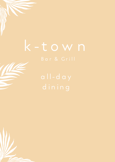# k-town

dining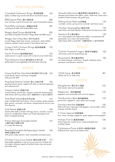# sharing plates.

| Crumbed Calamari Rings 香炸魷魚圈<br>lightly crumbed rings served with lemon and tartare sauce                                                                                             | 155 |
|---------------------------------------------------------------------------------------------------------------------------------------------------------------------------------------|-----|
| BBQ Spare Ribs 醬汁燒排骨<br>6 pcs of honey mustard ribs served with a side of homemade coleslaw                                                                                           | 200 |
| Pork Belly Lollipops 豬腩肉串燒<br>crackling pork belly with smokey BBQ sauce                                                                                                              | 165 |
| Wagyu Beef Strips 特式和牛塊<br>marinated and grilled Australian Wagyu Beef with BBQ sauce                                                                                                 | 220 |
| Wagyu San Choy Bau 和牛生菜包<br>minced Wagyu beef, bean sprouts, mushrooms, dried shallots,<br>chestnuts, bamboo shoots served in fresh lettuce leaf cups                                 | 130 |
| Crispy Chilli Chicken Wings 香辣燒雞翼<br>fried wings in a chilli sauce                                                                                                                    | 125 |
| Garlic Prawns 香蒜蝦配烤包<br>sweet prawns in a garlic sauce with a side of crusty Turkish toast                                                                                            | 155 |
| The Haloumi Stack 夏洛美芝士伴什菜<br>grilled haloumi and vegetables with basil pesto dressing                                                                                                | 135 |
| salad.                                                                                                                                                                                |     |
| Honey Fig & Pear Feta Salad 無花果梨子羊芝士沙律<br>mixed leaves, lemon and honey vinaigrette<br>Add prosciutto \$40                                                                            | 155 |
| Poached Salmon Salad 熟三文魚沙律<br>poached salmon pieces, topped with salsa on steamed asparagus<br>and wilted spinach                                                                    | 150 |
| Caesar Salad 凱撒沙律<br>romaine lettuce, parma ham, croutons, anchovies and parmesan<br>Add chicken \$25 and salmon \$30 加雞肉\$25 or 加三文魚\$30                                             | 130 |
| Thai Beef Salad 泰式牛肉沙律<br>strips of grilled beef, fresh lettuce, cherry tomatoes, green papaya,<br>bean sprouts, coriander, mint leaves, toasted peanuts and our own<br>Thai dressing | 155 |
| Cob Salad 凱撒沙律<br>choose either beef or chicken with egg, bacon, avocado, croutons,<br>onions & crumbled blue cheese over mixed salad greens and<br>Italian vinaigrette dressing      | 160 |
| Prawn Mango Avocado Salad<br>大蝦芒果牛油果沙律<br>in a zesty Thai dressing                                                                                                                    | 175 |
| Roasted Pumpkin & Asparagus Salad                                                                                                                                                     | 160 |

烤南瓜蘆筍沙律

with quinoa, baby spinach, fresh mozzarella and pesto sauce

Chicken Cous Cous Salad 雞肉古斯沙律 175 flame grilled vegetables on top of cous cous and mint, drizzled with mint yoghurt dressing, topped with grilled chicken strips and served with Greek salad

Mussels Marinara 蕃茄煮青口配蒜香多士 165 steamed and finished with saffron, garlic, white wine, herbs and a handful of fresh tomatoes with garlic toast

| Peking Duck Rolls 北京鴨卷                                                                                    | 135 |
|-----------------------------------------------------------------------------------------------------------|-----|
| cucumber, carrots, spring onions coriander and hoisin sauce                                               |     |
| Chicken Quesadillas 雞肉夾餅<br>zesty chicken and cheese filled flour tortilla served with salsa & sour cream | 125 |
| Nachos 芝士粟米脆片                                                                                             | 155 |

corn chips topped with cheese then grilled, accompanied with guacamole, sour cream and tomato salsa Add chicken \$30 or beef \$40 加雞肉\$30 or 加牛肉\$40

### bread.

| Turkish Toasted Fingers 香烤手指麵包       | 105 |
|--------------------------------------|-----|
| with hummus and sun dried tomato dip |     |

| Bruschetta 意式蕃茄烤包                                        | 10.5 |
|----------------------------------------------------------|------|
| sun dried tomatoes, mushrooms, arugula, kalamata olives, |      |
| parmesan and balsamic reduction                          |      |

### soup.

| Chefs Soup 是日餐湯<br>Please ask for our daily soup                                                                   |      |
|--------------------------------------------------------------------------------------------------------------------|------|
| pizza.                                                                                                             |      |
| Margherita 意式芝士薄餅<br>fresh tomato, basil and mozzarella                                                            | 145  |
| Pepperoni 辣肉腸薄餅<br>pepperoni and mozzarella with a hint of oregano                                                 | 170  |
| The Butchers Best 雜肉腸薄餅<br>parma ham, pepperoni, spicy salami and sausage                                          | 170  |
| Farmers Market 田園薄餅<br>field mushrooms, asparagus, bell peppers, roast pumpkin, cherry<br>tomatoes and feta cheese | 150. |
|                                                                                                                    |      |

K-Town Special 招牌薄餅 170 ham, onion, sausage, pepperoni, green peppers and pineapple

| Hawaii Five O 夏威夷薄餅                                  | 1.50 |
|------------------------------------------------------|------|
| slices of leg ham, tomato sauce, sweet pineapple and |      |
| crumbled cheese                                      |      |

Carbonara Pizza 卡邦尼火腿煙肉薄餅 150 traditional ham, bacon and cheese sauce

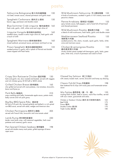## pasta.

| Fettuccine Bolognaise 意大利肉醬闊麵<br>rich beef, tomato sauce, shaved parmesan and garlic toast                               | 150   |
|--------------------------------------------------------------------------------------------------------------------------|-------|
| Spaghetti Carbonara 煙肉芝士意粉<br>bacon, egg, parmesan and double cream                                                      | 150   |
| Blue Swimmer Crab Linguine 蟹肉扁意粉<br>fresh crab, garlic, chilli, white wine and virgin olive oil                          | 165   |
| Linguine Vongole 香蒜蜆肉扁意粉<br>sautéed clams, tossed in extra virgin olive oil, fresh garlic with<br>a touch of chilli      | 165   |
| Spaghetti Marinara 香辣海鮮意粉<br>mixed seafood, provençal sauce, parmesan and basil on top                                   | 165   |
| Prawn Spaghetti 香蒜忌廉鮮蝦意粉<br>sautéed prawns in garlic with a splash of Pernod and double<br>cream topped with fresh herbs | 1.5.5 |

Wild Mushroom Fettuccine 芝士蘑菇寬麵 155 4 kinds of mushrooms, sautéed in garlic in rich creamy sauce and pecorino cheese

Penne Arrabiata 香辣茄汁長通粉 155 spicy tomato sauce, bell peppers, and a hand full of fresh basil and shaved parmesan

Wild Mushroom Risotto 蘑菇意大利飯 155 a blend of wild mushrooms, fresh herbs, garlic and double cream

Mediterranean Seafood Risotto 155 海鮮意大利飯

sautéed prawns, fish, clams, mussels, squid, garlic, herbs, white wine and marinara sauce

Chicken & Lemongrass Risotto 155 雞肉香茅意大利飯

chunky chicken pieces sautéed with lemongrass, garlic, herbs, green peas, white wine, a touch of parmesan and cream to finish

# big plates

Crispy Skin Rotisserie Chicken 脆皮烤雞 130 herb and garlic rub, slow roasted and basted, served with veggies and rich chicken gravy \$130 half or \$205 whole

Grilled Chicken Breast 香烤雞胸 165 char grilled and served with roast potatoes, vine tomatoes, broccolini, lemon and thyme jus

Pork Belly 豬腩肉 210 snap crackling pork belly, homemade apple sauce, potato mash, baby carrots and rich pork gravy

Big Boy BBQ Spare Ribs 燒排骨 405 full rack of US pork ribs, braised perfectly and bathed in a rich spiced rum BBQ sauce, served with salad, wedges and American slaw.

Chicken Parmigiana 香煎芝士雞胸 205 served with French fries, broccolini and vine tomato salad Lamb Rump 烤羊脾肉配薯菜 230

tender roast lamb rump, with seasonal vegetables, herb roast potatoes and rosemary garlic sauce

Pan Seared Chilean Seabass 香煎鱸魚 198 served with double creamy mash potato, grilled asparagus & lemon caper sauce

Glazed Soy Salmon 烤三文魚扒 225 with creamy wasabi mash, carrots, broccolini and honey soy dressing

Classic Fish & Chips 炸魚薯條 198 beer battered fish & chips with mushy peas and homemade tartare sauce

Mix Fajitas 墨西哥卷 (雞,牛,蝦) 155 sizzling fresh chicken, beef or prawn, warm flour tortillas, served with sour cream, guacamole and salsa.

| Chicken or Tandoori Chicken 雞肉 或 印度香料雞肉 | 16.5 |
|-----------------------------------------|------|
| Beef 牛肉                                 | 175  |
| Prawn 蝦肉                                | 180. |
| Double Combo 選2款                        | 170  |
| Triple Combo 選3款                        | 180. |